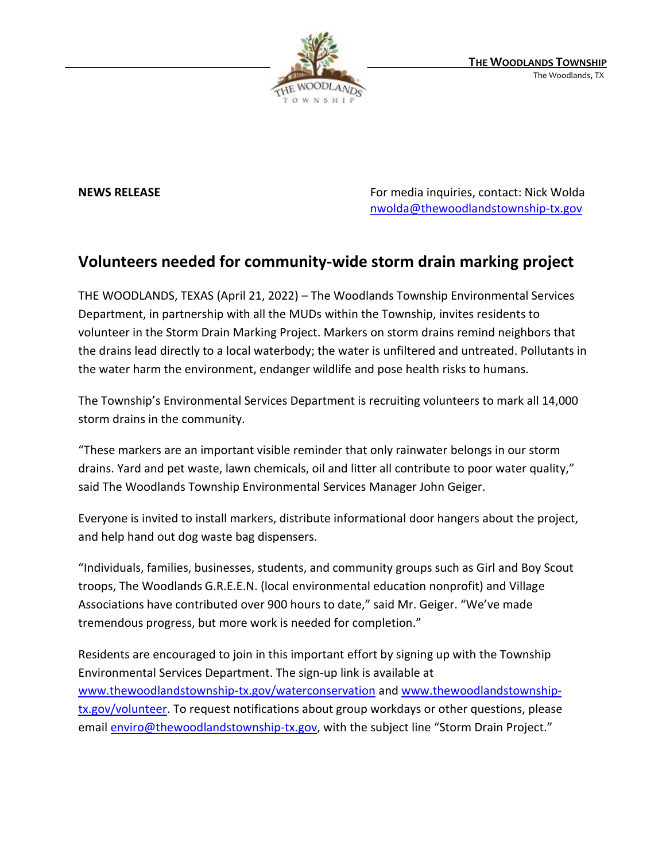

**NEWS RELEASE** For media inquiries, contact: Nick Wolda **NEWS** RELEASE [nwolda@thewoodlandstownship-tx.gov](mailto:nwolda@thewoodlandstownship-tx.gov)

## **Volunteers needed for community-wide storm drain marking project**

THE WOODLANDS, TEXAS (April 21, 2022) – The Woodlands Township Environmental Services Department, in partnership with all the MUDs within the Township, invites residents to volunteer in the Storm Drain Marking Project. Markers on storm drains remind neighbors that the drains lead directly to a local waterbody; the water is unfiltered and untreated. Pollutants in the water harm the environment, endanger wildlife and pose health risks to humans.

The Township's Environmental Services Department is recruiting volunteers to mark all 14,000 storm drains in the community.

"These markers are an important visible reminder that only rainwater belongs in our storm drains. Yard and pet waste, lawn chemicals, oil and litter all contribute to poor water quality," said The Woodlands Township Environmental Services Manager John Geiger.

Everyone is invited to install markers, distribute informational door hangers about the project, and help hand out dog waste bag dispensers.

"Individuals, families, businesses, students, and community groups such as Girl and Boy Scout troops, The Woodlands G.R.E.E.N. (local environmental education nonprofit) and Village Associations have contributed over 900 hours to date," said Mr. Geiger. "We've made tremendous progress, but more work is needed for completion."

Residents are encouraged to join in this important effort by signing up with the Township Environmental Services Department. The sign-up link is available at [www.thewoodlandstownship-tx.gov/waterconservation](http://www.thewoodlandstownship-tx.gov/waterconservation) and [www.thewoodlandstownship](http://www.thewoodlandstownship-tx.gov/volunteer)[tx.gov/volunteer.](http://www.thewoodlandstownship-tx.gov/volunteer) To request notifications about group workdays or other questions, please email [enviro@thewoodlandstownship-tx.gov](mailto:enviro@thewoodlandstownship-tx.gov), with the subject line "Storm Drain Project."